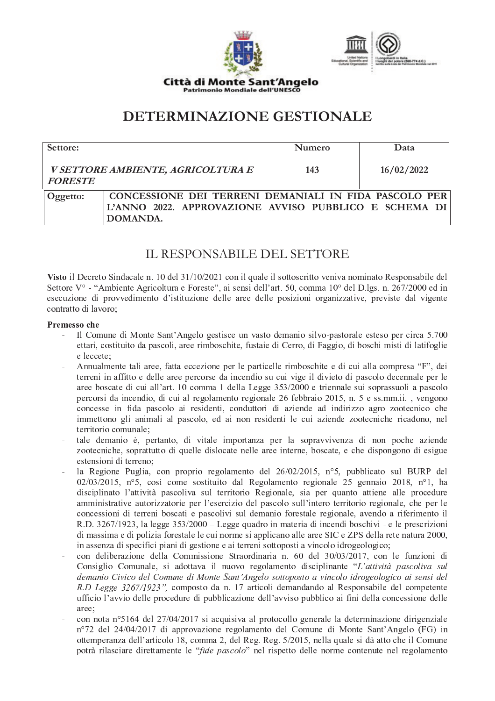



**DETERMINAZIONE GESTIONALE** 

| Settore:       |                                                                                                                            | <b>Numero</b> | Data       |
|----------------|----------------------------------------------------------------------------------------------------------------------------|---------------|------------|
| <b>FORESTE</b> | V SETTORE AMBIENTE, AGRICOLTURA E                                                                                          | 143           | 16/02/2022 |
| Oggetto:       | CONCESSIONE DEI TERRENI DEMANIALI IN FIDA PASCOLO PER<br>L'ANNO 2022. APPROVAZIONE AVVISO PUBBLICO E SCHEMA DI<br>DOMANDA. |               |            |

# IL RESPONSABILE DEL SETTORE

Visto il Decreto Sindacale n. 10 del 31/10/2021 con il quale il sottoscritto veniva nominato Responsabile del Settore V° - "Ambiente Agricoltura e Foreste", ai sensi dell'art. 50, comma 10° del D.lgs. n. 267/2000 ed in esecuzione di provvedimento d'istituzione delle aree delle posizioni organizzative, previste dal vigente contratto di lavoro:

#### Premesso che

- Il Comune di Monte Sant'Angelo gestisce un vasto demanio silvo-pastorale esteso per circa 5.700 ettari, costituito da pascoli, aree rimboschite, fustaie di Cerro, di Faggio, di boschi misti di latifoglie e leccete:
- Annualmente tali aree, fatta eccezione per le particelle rimboschite e di cui alla compresa "F", dei terreni in affitto e delle aree percorse da incendio su cui vige il divieto di pascolo decennale per le aree boscate di cui all'art. 10 comma 1 della Legge 353/2000 e triennale sui soprassuoli a pascolo percorsi da incendio, di cui al regolamento regionale 26 febbraio 2015, n. 5 e ss.mm.ii., vengono concesse in fida pascolo ai residenti, conduttori di aziende ad indirizzo agro zootecnico che immettono gli animali al pascolo, ed ai non residenti le cui aziende zootecniche ricadono, nel territorio comunale:
- tale demanio è, pertanto, di vitale importanza per la sopravvivenza di non poche aziende zootecniche, soprattutto di quelle dislocate nelle aree interne, boscate, e che dispongono di esigue estensioni di terreno:
- la Regione Puglia, con proprio regolamento del 26/02/2015, nº5, pubblicato sul BURP del  $02/03/2015$ , n°5, così come sostituito dal Regolamento regionale 25 gennaio 2018, n°1, ha disciplinato l'attività pascoliva sul territorio Regionale, sia per quanto attiene alle procedure amministrative autorizzatorie per l'esercizio del pascolo sull'intero territorio regionale, che per le concessioni di terreni boscati e pascolivi sul demanio forestale regionale, avendo a riferimento il R.D. 3267/1923, la legge 353/2000 – Legge quadro in materia di incendi boschivi - e le prescrizioni di massima e di polizia forestale le cui norme si applicano alle aree SIC e ZPS della rete natura 2000, in assenza di specifici piani di gestione e ai terreni sottoposti a vincolo idrogeologico;
- con deliberazione della Commissione Straordinaria n. 60 del 30/03/2017, con le funzioni di Consiglio Comunale, si adottava il nuovo regolamento disciplinante "L'attività pascoliva sul demanio Civico del Comune di Monte Sant'Angelo sottoposto a vincolo idrogeologico ai sensi del R.D Legge 3267/1923", composto da n. 17 articoli demandando al Responsabile del competente ufficio l'avvio delle procedure di pubblicazione dell'avviso pubblico ai fini della concessione delle aree:
- con nota nº 5164 del 27/04/2017 si acquisiva al protocollo generale la determinazione dirigenziale n°72 del 24/04/2017 di approvazione regolamento del Comune di Monte Sant'Angelo (FG) in ottemperanza dell'articolo 18, comma 2, del Reg. Reg. 5/2015, nella quale si dà atto che il Comune potrà rilasciare direttamente le "fide pascolo" nel rispetto delle norme contenute nel regolamento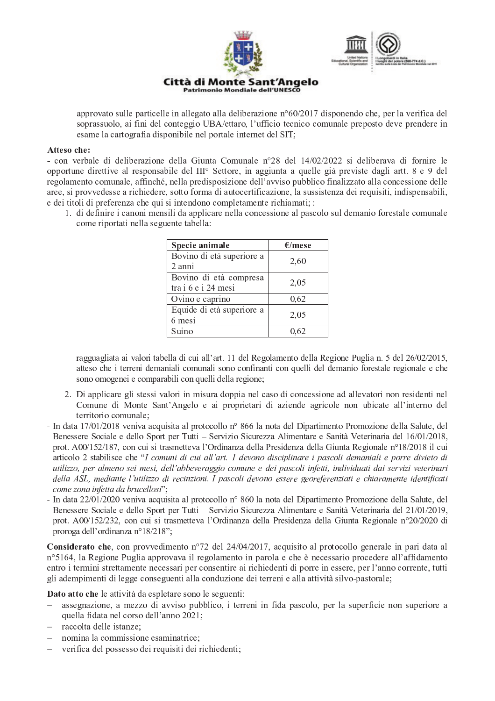

Patrimonio Mondiale dell'UNESCO



approvato sulle particelle in allegato alla deliberazione n°60/2017 disponendo che, per la verifica del soprassuolo, ai fini del conteggio UBA/ettaro, l'ufficio tecnico comunale preposto deve prendere in esame la cartografia disponibile nel portale internet del SIT;

#### Atteso che:

- con verbale di deliberazione della Giunta Comunale n°28 del 14/02/2022 si deliberava di fornire le opportune direttive al responsabile del III<sup>°</sup> Settore, in aggiunta a quelle già previste dagli artt. 8 e 9 del regolamento comunale, affinché, nella predisposizione dell'avviso pubblico finalizzato alla concessione delle aree, si provvedesse a richiedere, sotto forma di autocertificazione, la sussistenza dei requisiti, indispensabili, e dei titoli di preferenza che qui si intendono completamente richiamati; :

1. di definire i canoni mensili da applicare nella concessione al pascolo sul demanio forestale comunale come riportati nella seguente tabella:

| Specie animale                                | E/mese |
|-----------------------------------------------|--------|
| Bovino di età superiore a<br>2 anni           | 2,60   |
| Bovino di età compresa<br>tra i 6 e i 24 mesi | 2,05   |
| Ovino e caprino                               | 0,62   |
| Equide di età superiore a<br>6 mesi           | 2,05   |
| Suino                                         | 0.62   |

ragguagliata ai valori tabella di cui all'art. 11 del Regolamento della Regione Puglia n. 5 del 26/02/2015, atteso che i terreni demaniali comunali sono confinanti con quelli del demanio forestale regionale e che sono omogenei e comparabili con quelli della regione;

- 2. Di applicare gli stessi valori in misura doppia nel caso di concessione ad allevatori non residenti nel Comune di Monte Sant'Angelo e ai proprietari di aziende agricole non ubicate all'interno del territorio comunale:
- In data 17/01/2018 veniva acquisita al protocollo nº 866 la nota del Dipartimento Promozione della Salute, del Benessere Sociale e dello Sport per Tutti – Servizio Sicurezza Alimentare e Sanità Veterinaria del 16/01/2018, prot. A00/152/187, con cui si trasmetteva l'Ordinanza della Presidenza della Giunta Regionale n°18/2018 il cui articolo 2 stabilisce che "I comuni di cui all'art. 1 devono disciplinare i pascoli demaniali e porre divieto di utilizzo, per almeno sei mesi, dell'abbeveraggio comune e dei pascoli infetti, individuati dai servizi veterinari della ASL, mediante l'utilizzo di recinzioni. I pascoli devono essere georeferenziati e chiaramente identificati come zona infetta da brucellosi";
- In data 22/01/2020 veniva acquisita al protocollo nº 860 la nota del Dipartimento Promozione della Salute, del Benessere Sociale e dello Sport per Tutti – Servizio Sicurezza Alimentare e Sanità Veterinaria del 21/01/2019, prot. A00/152/232, con cui si trasmetteva l'Ordinanza della Presidenza della Giunta Regionale n°20/2020 di proroga dell'ordinanza n°18/218";

**Considerato che**, con provvedimento n°72 del 24/04/2017, acquisito al protocollo generale in pari data al n°5164, la Regione Puglia approvava il regolamento in parola e che è necessario procedere all'affidamento entro i termini strettamente necessari per consentire ai richiedenti di porre in essere, per l'anno corrente, tutti gli adempimenti di legge conseguenti alla conduzione dei terreni e alla attività silvo-pastorale;

Dato atto che le attività da espletare sono le seguenti:

- assegnazione, a mezzo di avviso pubblico, i terreni in fida pascolo, per la superficie non superiore a quella fidata nel corso dell'anno 2021;
- raccolta delle istanze:
- nomina la commissione esaminatrice:
- verifica del possesso dei requisiti dei richiedenti;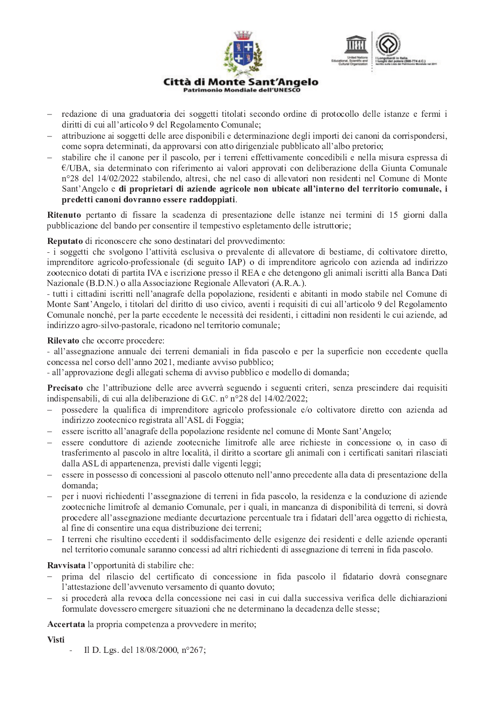

- redazione di una graduatoria dei soggetti titolati secondo ordine di protocollo delle istanze e fermi i diritti di cui all'articolo 9 del Regolamento Comunale;
- attribuzione ai soggetti delle aree disponibili e determinazione degli importi dei canoni da corrispondersi, come sopra determinati, da approvarsi con atto dirigenziale pubblicato all'albo pretorio;
- stabilire che il canone per il pascolo, per i terreni effettivamente concedibili e nella misura espressa di  $E/UBA$ , sia determinato con riferimento ai valori approvati con deliberazione della Giunta Comunale n°28 del 14/02/2022 stabilendo, altresì, che nel caso di allevatori non residenti nel Comune di Monte Sant'Angelo e di proprietari di aziende agricole non ubicate all'interno del territorio comunale, i predetti canoni dovranno essere raddoppiati.

Ritenuto pertanto di fissare la scadenza di presentazione delle istanze nei termini di 15 giorni dalla pubblicazione del bando per consentire il tempestivo espletamento delle istruttorie;

Reputato di riconoscere che sono destinatari del provvedimento:

- i soggetti che svolgono l'attività esclusiva o prevalente di allevatore di bestiame, di coltivatore diretto, imprenditore agricolo-professionale (di seguito IAP) o di imprenditore agricolo con azienda ad indirizzo zootecnico dotati di partita IVA e iscrizione presso il REA e che detengono gli animali iscritti alla Banca Dati Nazionale (B.D.N.) o alla Associazione Regionale Allevatori (A.R.A.).

- tutti i cittadini iscritti nell'anagrafe della popolazione, residenti e abitanti in modo stabile nel Comune di Monte Sant'Angelo, i titolari del diritto di uso civico, aventi i requisiti di cui all'articolo 9 del Regolamento Comunale nonché, per la parte eccedente le necessità dei residenti, i cittadini non residenti le cui aziende, ad indirizzo agro-silvo-pastorale, ricadono nel territorio comunale;

## Rilevato che occorre procedere:

- all'assegnazione annuale dei terreni demaniali in fida pascolo e per la superficie non eccedente quella concessa nel corso dell'anno 2021, mediante avviso pubblico;

- all'approvazione degli allegati schema di avviso pubblico e modello di domanda;

Precisato che l'attribuzione delle aree avverrà seguendo i seguenti criteri, senza prescindere dai requisiti indispensabili, di cui alla deliberazione di G.C. nº nº28 del 14/02/2022;

- possedere la qualifica di imprenditore agricolo professionale e/o coltivatore diretto con azienda ad indirizzo zootecnico registrata all'ASL di Foggia;
- essere iscritto all'anagrafe della popolazione residente nel comune di Monte Sant'Angelo;  $\equiv$   $^{-1}$
- essere conduttore di aziende zootecniche limitrofe alle aree richieste in concessione o, in caso di trasferimento al pascolo in altre località, il diritto a scortare gli animali con i certificati sanitari rilasciati dalla ASL di appartenenza, previsti dalle vigenti leggi;
- essere in possesso di concessioni al pascolo ottenuto nell'anno precedente alla data di presentazione della domanda;
- per i nuovi richiedenti l'assegnazione di terreni in fida pascolo, la residenza e la conduzione di aziende zootecniche limitrofe al demanio Comunale, per i quali, in mancanza di disponibilità di terreni, si dovrà procedere all'assegnazione mediante decurtazione percentuale tra i fidatari dell'area oggetto di richiesta. al fine di consentire una equa distribuzione dei terreni;
- I terreni che risultino eccedenti il soddisfacimento delle esigenze dei residenti e delle aziende operanti nel territorio comunale saranno concessi ad altri richiedenti di assegnazione di terreni in fida pascolo.

## Ravvisata l'opportunità di stabilire che:

- prima del rilascio del certificato di concessione in fida pascolo il fidatario dovrà consegnare l'attestazione dell'avvenuto versamento di quanto dovuto;
- si procederà alla revoca della concessione nei casi in cui dalla successiva verifica delle dichiarazioni formulate dovessero emergere situazioni che ne determinano la decadenza delle stesse;

Accertata la propria competenza a provvedere in merito;

## **Visti**

Il D. Lgs. del 18/08/2000, n°267;